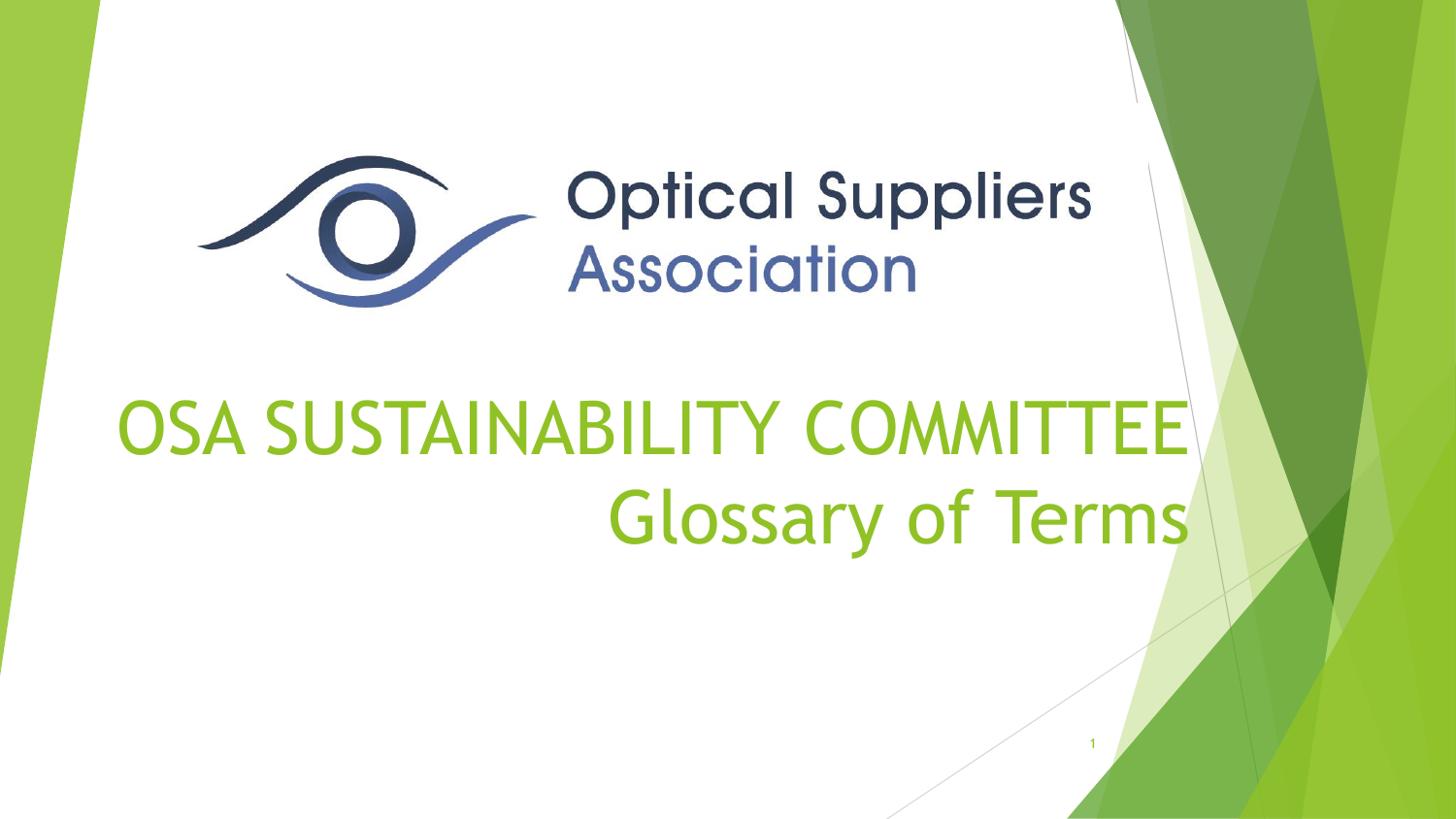

# OSA SUSTAINABILITY COMMITTEE Glossary of Terms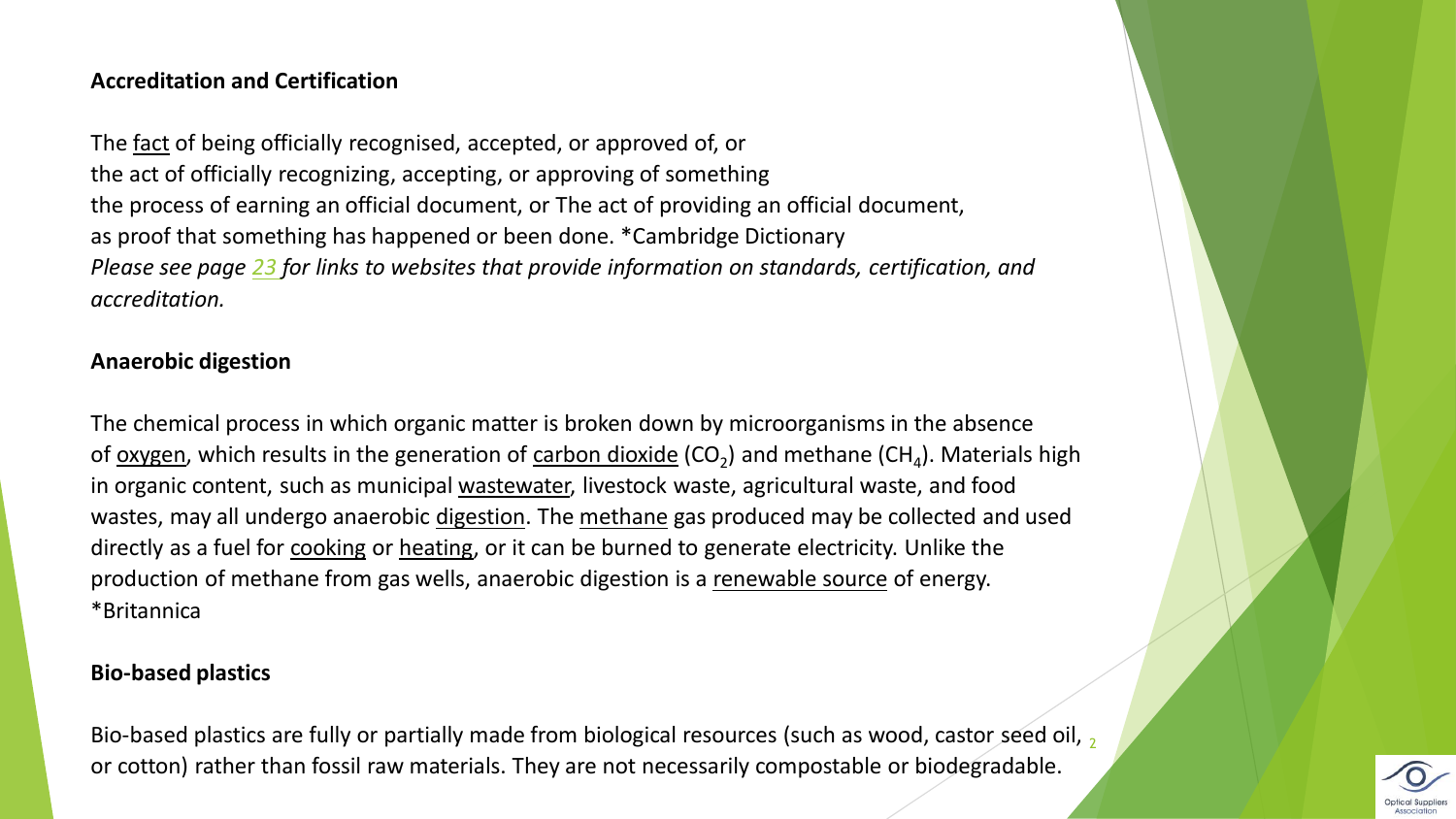### **Accreditation and Certification**

The [fact](https://dictionary.cambridge.org/dictionary/english/fact) of being officially recognised, accepted, or approved of, or the act of officially recognizing, accepting, or approving of something the process of earning an official document, or The act of providing an official document, as proof that something has happened or been done. \*Cambridge Dictionary *Please see page [23](#page-22-0) for links to websites that provide information on standards, certification, and accreditation.*

# **Anaerobic digestion**

The chemical process in which organic matter is broken down by microorganisms in the absence of <u>oxygen</u>, which results in the generation of [carbon dioxide](https://www.britannica.com/science/carbon-dioxide) (CO<sub>2</sub>) and methane (CH<sub>4</sub>). Materials high in organic content, such as municipal [wastewater,](https://www.britannica.com/technology/wastewater-treatment) livestock waste, agricultural waste, and food wastes, may all undergo anaerobic [digestion.](https://www.britannica.com/science/digestion-biology) The [methane](https://www.britannica.com/science/methane) gas produced may be collected and used directly as a fuel for [cooking](https://www.britannica.com/topic/cooking) or [heating](https://www.britannica.com/science/heat), or it can be burned to generate electricity. Unlike the production of methane from gas wells, anaerobic digestion is a [renewable source](https://www.britannica.com/science/renewable-energy) of energy. \*Britannica

#### **Bio-based plastics**

Bio-based plastics are fully or partially made from biological resources (such as wood, castor seed oil, <sub>2</sub> or cotton) rather than fossil raw materials. They are not necessarily compostable or biodegradable.

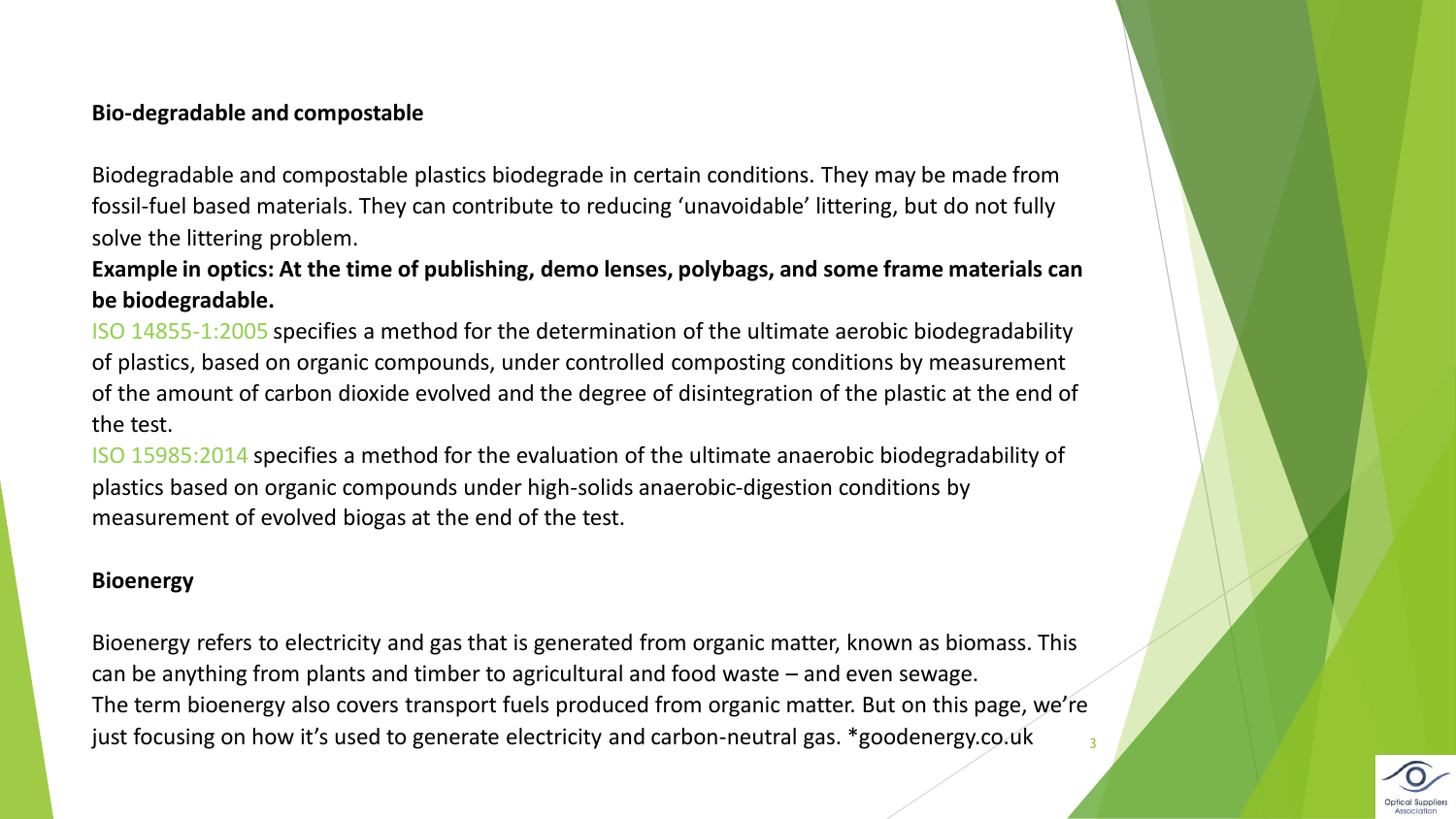#### **Bio-degradable and compostable**

Biodegradable and compostable plastics biodegrade in certain conditions. They may be made from fossil-fuel based materials. They can contribute to reducing 'unavoidable' littering, but do not fully solve the littering problem.

**Example in optics: At the time of publishing, demo lenses, polybags, and some frame materials can be biodegradable.**

ISO 14855-1:2005 specifies a method for the determination of the ultimate aerobic biodegradability of plastics, based on organic compounds, under controlled composting conditions by measurement of the amount of carbon dioxide evolved and the degree of disintegration of the plastic at the end of the test.

ISO 15985:2014 specifies a method for the evaluation of the ultimate anaerobic biodegradability of plastics based on organic compounds under high-solids anaerobic-digestion conditions by measurement of evolved biogas at the end of the test.

#### **Bioenergy**

Bioenergy refers to electricity and gas that is generated from organic matter, known as biomass. This can be anything from plants and timber to agricultural and food waste – and even sewage. The term bioenergy also covers transport fuels produced from organic matter. But on this page, we're just focusing on how it's used to generate electricity and carbon-neutral gas. \*goodenergy.co.uk

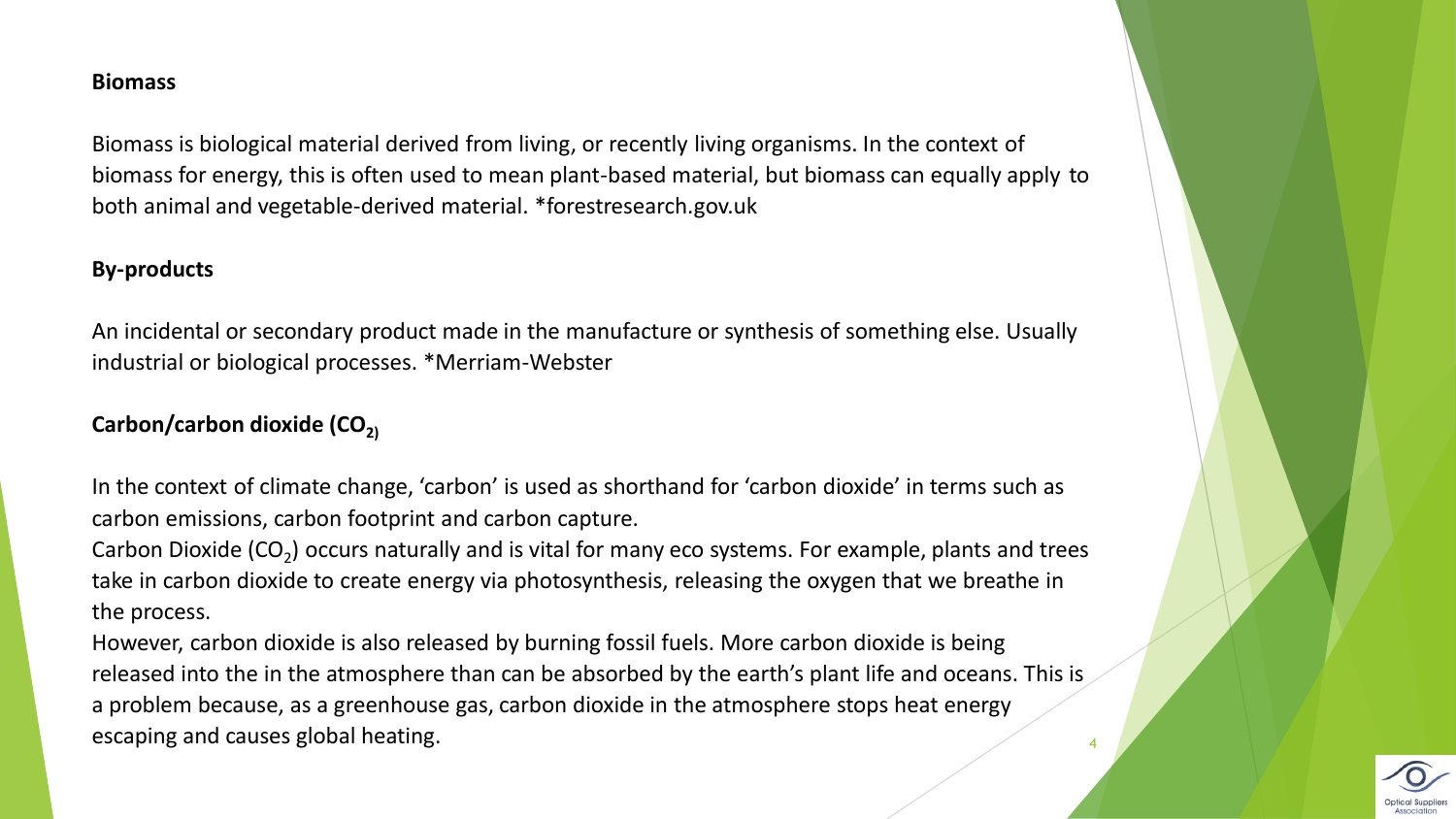#### **Biomass**

Biomass is biological material derived from living, or recently living organisms. In the context of biomass for energy, this is often used to mean plant-based material, but biomass can equally apply to both animal and vegetable-derived material. \*forestresearch.gov.uk

# **By-products**

An incidental or secondary product made in the manufacture or synthesis of something else. Usually industrial or biological processes. \*Merriam-Webster

# Carbon/carbon dioxide (CO<sub>2)</sub>

In the context of climate change, 'carbon' is used as shorthand for 'carbon dioxide' in terms such as carbon emissions, carbon footprint and carbon capture.

Carbon Dioxide (CO<sub>2</sub>) occurs naturally and is vital for many eco systems. For example, plants and trees take in carbon dioxide to create energy via photosynthesis, releasing the oxygen that we breathe in the process.

However, carbon dioxide is also released by burning fossil fuels. More carbon dioxide is being released into the in the atmosphere than can be absorbed by the earth's plant life and oceans. This is a problem because, as a greenhouse gas, carbon dioxide in the atmosphere stops heat energy escaping and causes global heating. <sup>4</sup>

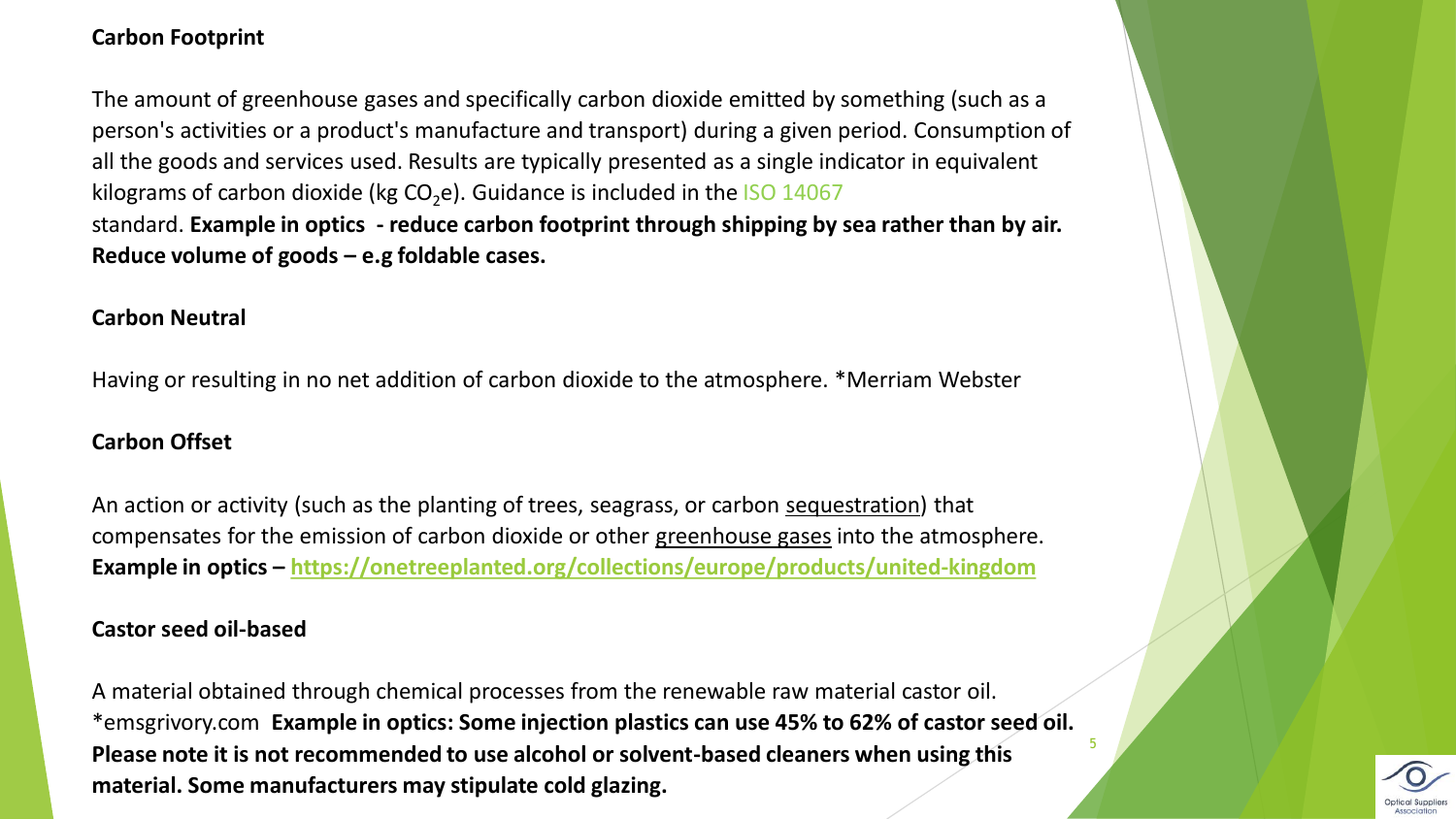# **Carbon Footprint**

The amount of greenhouse gases and specifically carbon dioxide emitted by something (such as a person's activities or a product's manufacture and transport) during a given period. Consumption of all the goods and services used. Results are typically presented as a single indicator in equivalent kilograms of carbon dioxide (kg  $CO<sub>2</sub>e$ ). Guidance is included in the ISO 14067 standard. **Example in optics - reduce carbon footprint through shipping by sea rather than by air. Reduce volume of goods – e.g foldable cases.** 

#### **Carbon Neutral**

Having or resulting in no net addition of carbon dioxide to the atmosphere. \*Merriam Webster

#### **Carbon Offset**

An action or activity (such as the planting of trees, seagrass, or carbon [sequestration\)](https://www.merriam-webster.com/dictionary/sequestration) that compensates for the emission of carbon dioxide or other [greenhouse gases](https://www.merriam-webster.com/dictionary/greenhouse%20gas) into the atmosphere. **Example in optics – <https://onetreeplanted.org/collections/europe/products/united-kingdom>**

#### **Castor seed oil-based**

A material obtained through chemical processes from the renewable raw material castor oil. \*emsgrivory.com **Example in optics: Some injection plastics can use 45% to 62% of castor seed oil. Please note it is not recommended to use alcohol or solvent-based cleaners when using this material. Some manufacturers may stipulate cold glazing.**

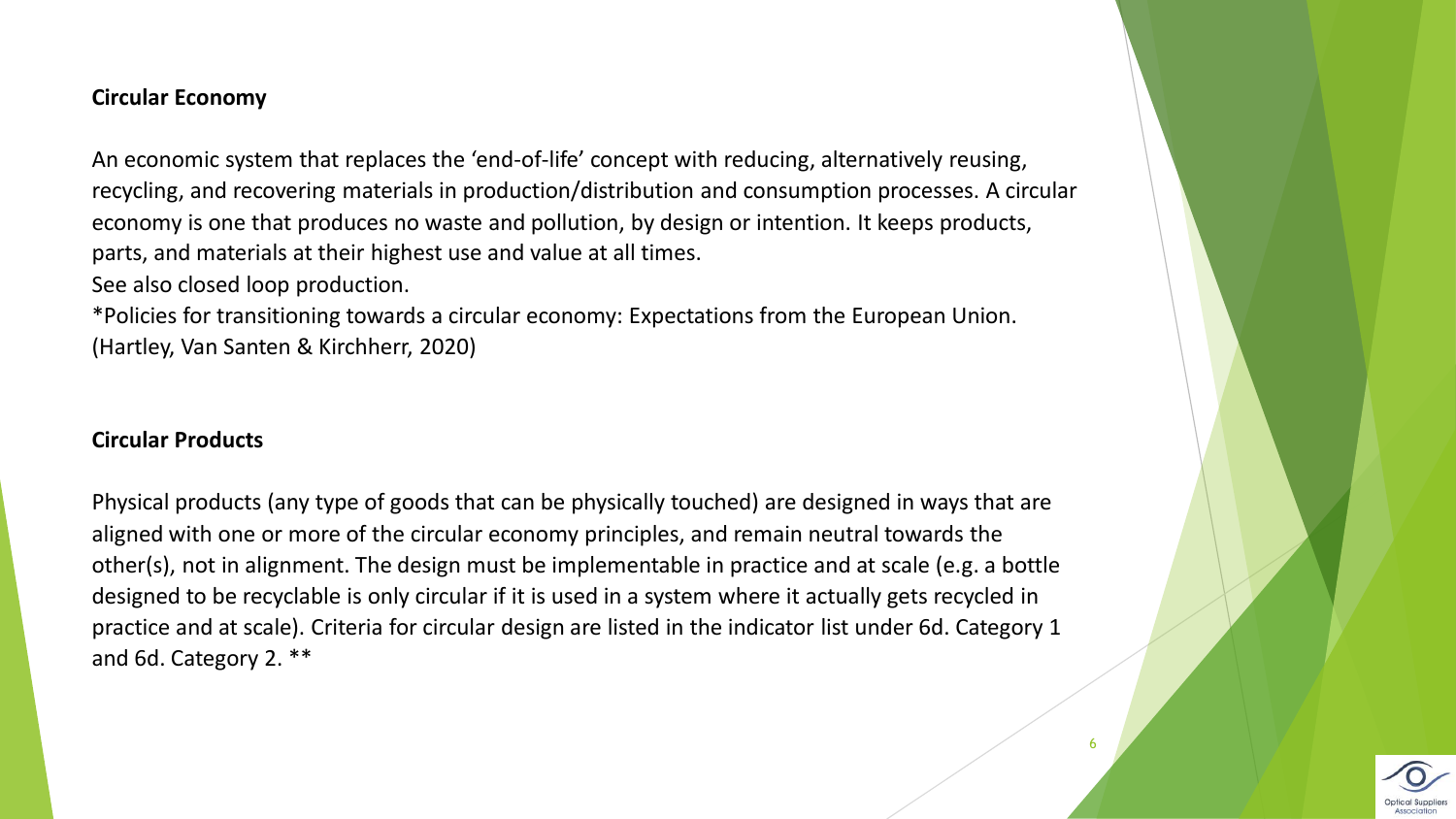#### **Circular Economy**

An economic system that replaces the 'end-of-life' concept with reducing, alternatively reusing, recycling, and recovering materials in production/distribution and consumption processes. A circular economy is one that produces no waste and pollution, by design or intention. It keeps products, parts, and materials at their highest use and value at all times. See also closed loop production.

\*Policies for transitioning towards a circular economy: Expectations from the European Union. (Hartley, Van Santen & Kirchherr, 2020)

#### **Circular Products**

Physical products (any type of goods that can be physically touched) are designed in ways that are aligned with one or more of the circular economy principles, and remain neutral towards the other(s), not in alignment. The design must be implementable in practice and at scale (e.g. a bottle designed to be recyclable is only circular if it is used in a system where it actually gets recycled in practice and at scale). Criteria for circular design are listed in the indicator list under 6d. Category 1 and 6d. Category 2. \*\*

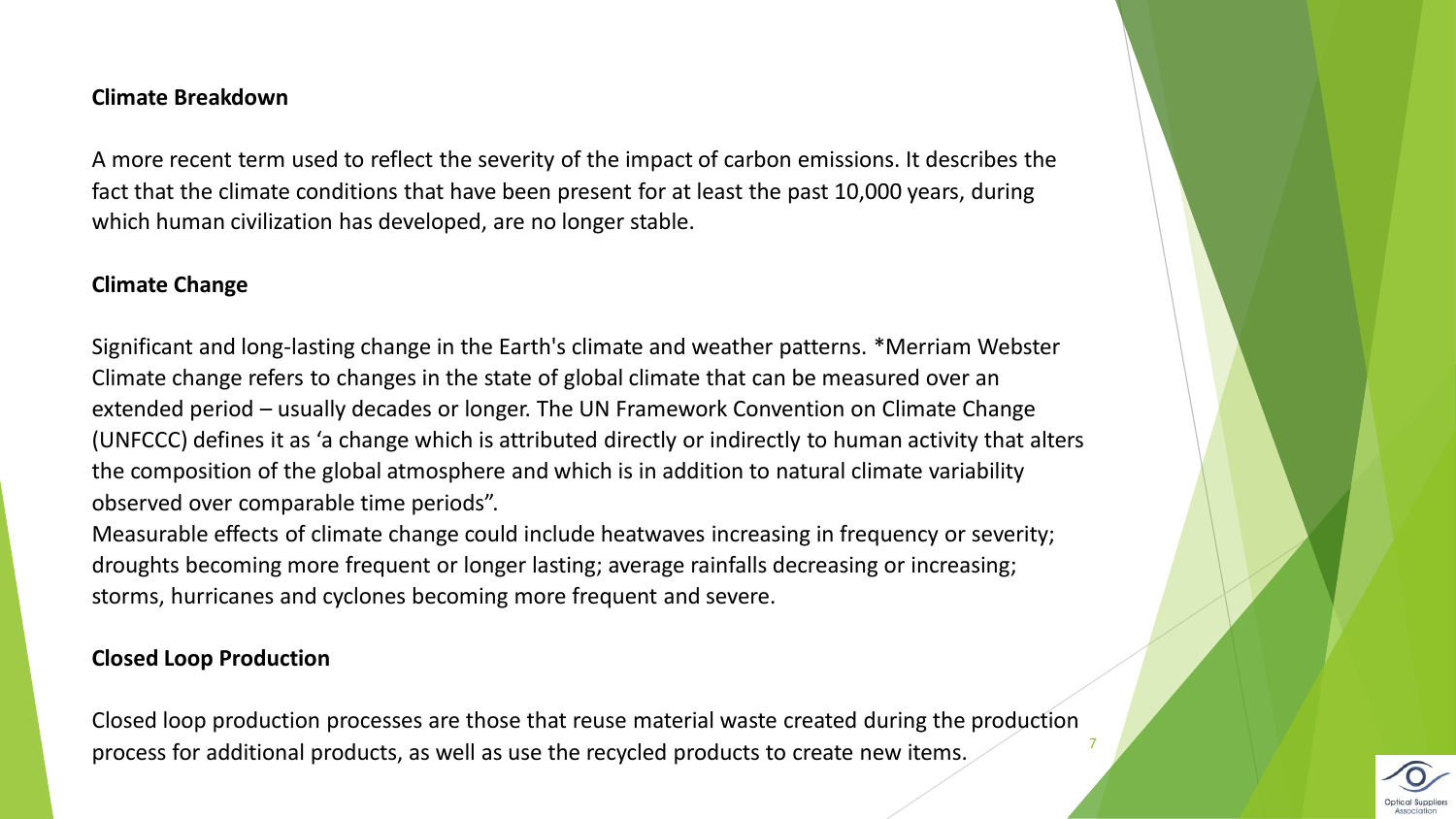#### **Climate Breakdown**

A more recent term used to reflect the severity of the impact of carbon emissions. It describes the fact that the climate conditions that have been present for at least the past 10,000 years, during which human civilization has developed, are no longer stable.

#### **Climate Change**

Significant and long-lasting change in the Earth's climate and weather patterns. \*Merriam Webster Climate change refers to changes in the state of global climate that can be measured over an extended period – usually decades or longer. The UN Framework Convention on Climate Change (UNFCCC) defines it as 'a change which is attributed directly or indirectly to human activity that alters the composition of the global atmosphere and which is in addition to natural climate variability observed over comparable time periods".

Measurable effects of climate change could include heatwaves increasing in frequency or severity; droughts becoming more frequent or longer lasting; average rainfalls decreasing or increasing; storms, hurricanes and cyclones becoming more frequent and severe.

#### **Closed Loop Production**

Closed loop production processes are those that reuse material waste created during the production process for additional products, as well as use the recycled products to create new items. <sup>7</sup>

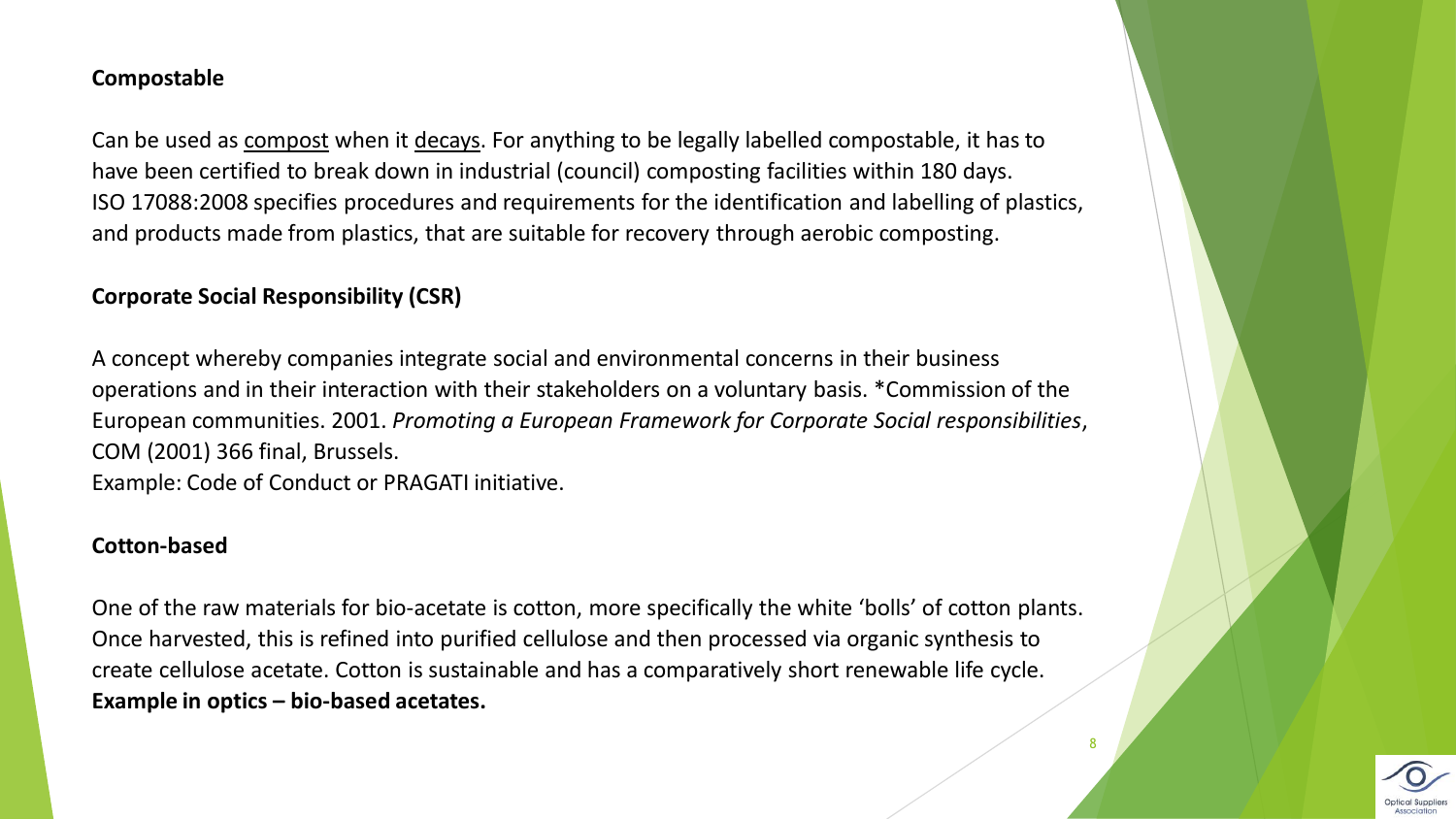#### **Compostable**

Can be used as [compost](https://dictionary.cambridge.org/dictionary/english/compost) when it [decays.](https://dictionary.cambridge.org/dictionary/english/decay) For anything to be legally labelled compostable, it has to have been certified to break down in industrial (council) composting facilities within 180 days. ISO 17088:2008 specifies procedures and requirements for the identification and labelling of plastics, and products made from plastics, that are suitable for recovery through aerobic composting.

# **Corporate Social Responsibility (CSR)**

A concept whereby companies integrate social and environmental concerns in their business operations and in their interaction with their stakeholders on a voluntary basis. \*Commission of the European communities. 2001. *Promoting a European Framework for Corporate Social responsibilities*, COM (2001) 366 final, Brussels. Example: Code of Conduct or PRAGATI initiative.

#### **Cotton-based**

One of the raw materials for bio-acetate is cotton, more specifically the white 'bolls' of cotton plants. Once harvested, this is refined into purified cellulose and then processed via organic synthesis to create cellulose acetate. Cotton is sustainable and has a comparatively short renewable life cycle. **Example in optics – bio-based acetates.** 

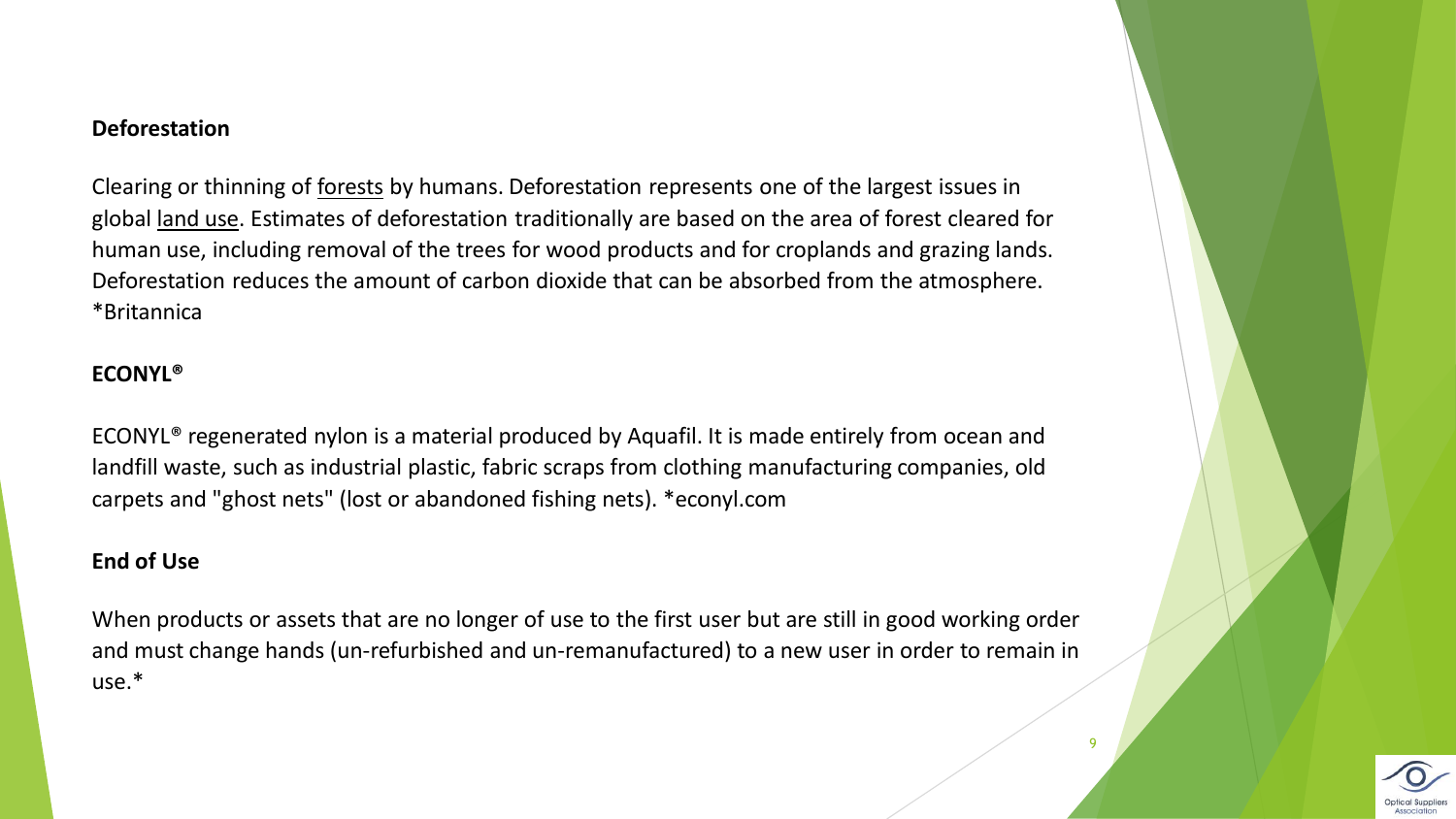#### **Deforestation**

Clearing or thinning of [forests](https://www.britannica.com/science/forest) by humans. Deforestation represents one of the largest issues in global [land use.](https://www.britannica.com/topic/land-use) Estimates of deforestation traditionally are based on the area of forest cleared for human use, including removal of the trees for wood products and for croplands and grazing lands. Deforestation reduces the amount of carbon dioxide that can be absorbed from the atmosphere. \*Britannica

# **ECONYL®**

ECONYL® regenerated nylon is a material produced by Aquafil. It is made entirely from ocean and landfill waste, such as industrial plastic, fabric scraps from clothing manufacturing companies, old carpets and "ghost nets" (lost or abandoned fishing nets). \*econyl.com

# **End of Use**

When products or assets that are no longer of use to the first user but are still in good working order and must change hands (un-refurbished and un-remanufactured) to a new user in order to remain in use.\*

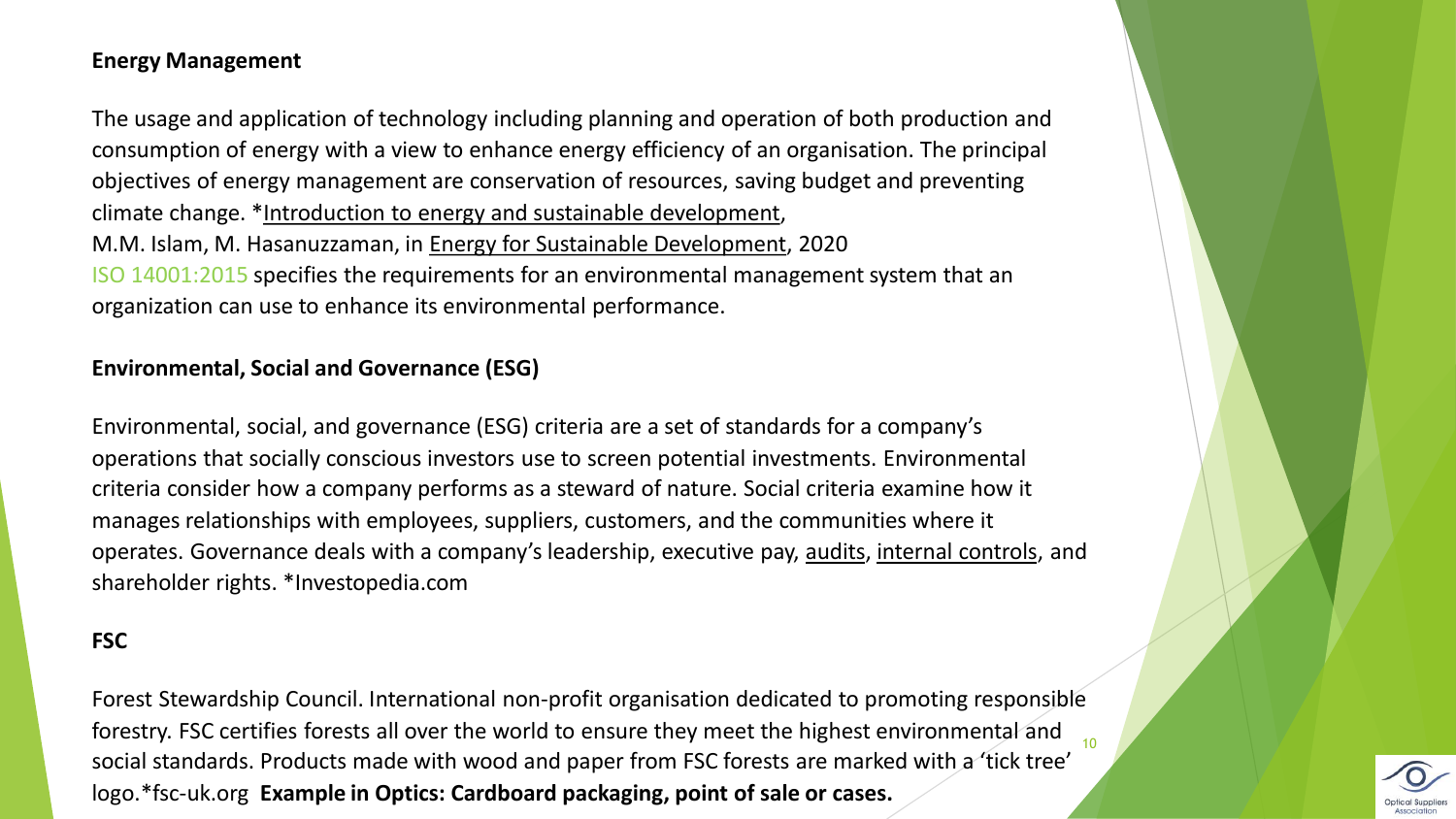# **Energy Management**

The usage and application of technology including planning and operation of both production and consumption of energy with a view to enhance energy efficiency of an organisation. The principal objectives of energy management are conservation of resources, saving budget and preventing climate change. \*[Introduction to energy and sustainable development,](https://www.sciencedirect.com/science/article/pii/B9780128146453000018) M.M. Islam, M. Hasanuzzaman, in [Energy for Sustainable Development,](https://www.sciencedirect.com/book/9780128146453/energy-for-sustainable-development) 2020 ISO 14001:2015 specifies the requirements for an environmental management system that an organization can use to enhance its environmental performance.

### **Environmental, Social and Governance (ESG)**

Environmental, social, and governance (ESG) criteria are a set of standards for a company's operations that socially conscious investors use to screen potential investments. Environmental criteria consider how a company performs as a steward of nature. Social criteria examine how it manages relationships with employees, suppliers, customers, and the communities where it operates. Governance deals with a company's leadership, executive pay, [audits,](https://www.investopedia.com/terms/a/audit.asp) [internal controls](https://www.investopedia.com/terms/i/internalcontrols.asp), and shareholder rights. \*Investopedia.com

#### **FSC**

Forest Stewardship Council. International non-profit organisation dedicated to promoting responsible forestry. FSC certifies forests all over the world to ensure they meet the highest environmental and social standards. Products made with wood and paper from FSC forests are marked with a 'tick tree' logo.\*fsc-uk.org **Example in Optics: Cardboard packaging, point of sale or cases.** 10

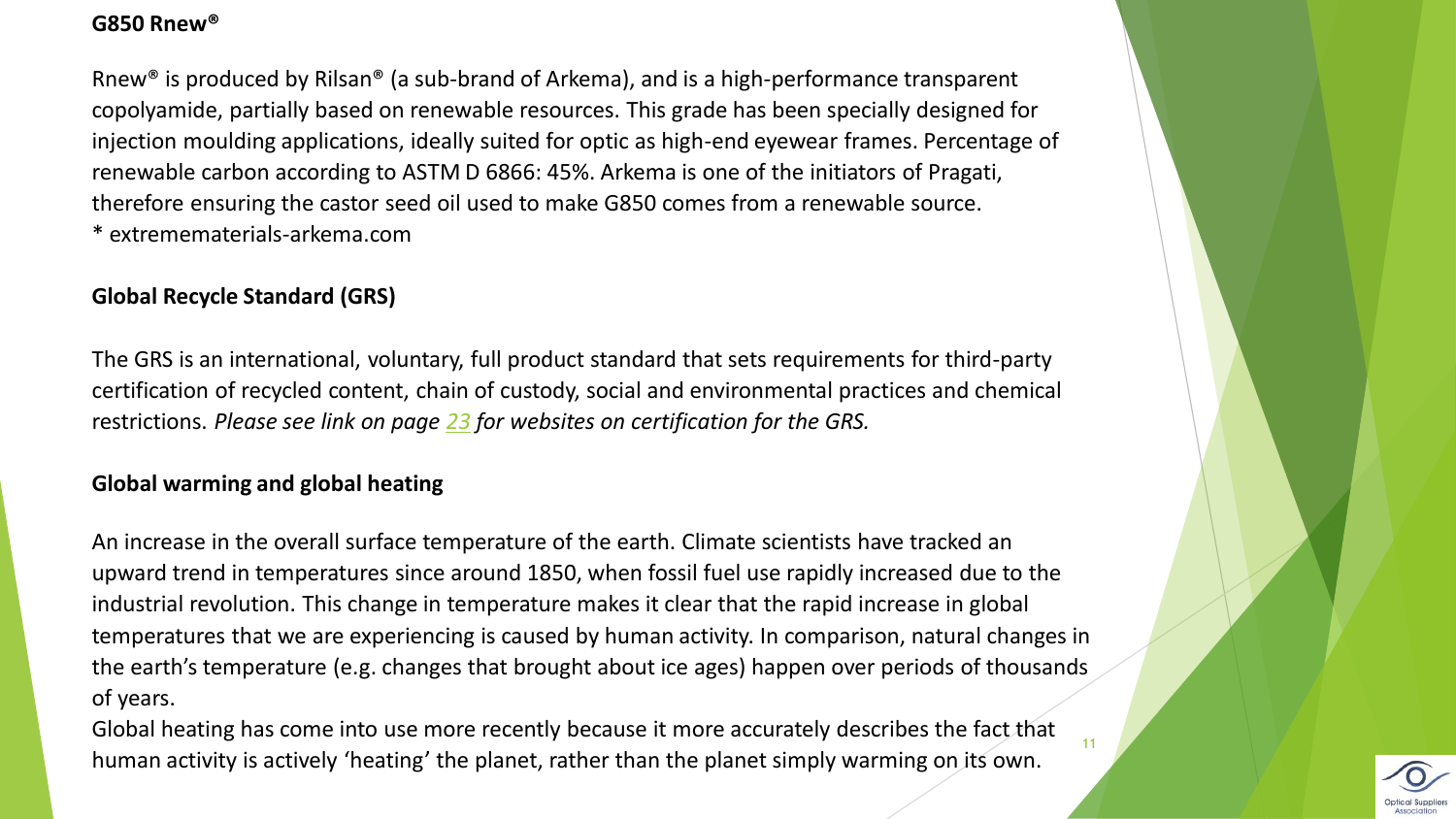# **G850 Rnew®**

Rnew® is produced by Rilsan® (a sub-brand of Arkema), and is a high-performance transparent copolyamide, partially based on renewable resources. This grade has been specially designed for injection moulding applications, ideally suited for optic as high-end eyewear frames. Percentage of renewable carbon according to ASTM D 6866: 45%. Arkema is one of the initiators of Pragati, therefore ensuring the castor seed oil used to make G850 comes from a renewable source. \* extremematerials-arkema.com

# **Global Recycle Standard (GRS)**

The GRS is an international, voluntary, full product standard that sets requirements for third-party certification of recycled content, chain of custody, social and environmental practices and chemical restrictions. *Please see link on page [23](#page-22-0) for websites on certification for the GRS.* 

# **Global warming and global heating**

An increase in the overall surface temperature of the earth. Climate scientists have tracked an upward trend in temperatures since around 1850, when fossil fuel use rapidly increased due to the industrial revolution. This change in temperature makes it clear that the rapid increase in global temperatures that we are experiencing is caused by human activity. In comparison, natural changes in the earth's temperature (e.g. changes that brought about ice ages) happen over periods of thousands of years.

Global heating has come into use more recently because it more accurately describes the fact that human activity is actively 'heating' the planet, rather than the planet simply warming on its own.

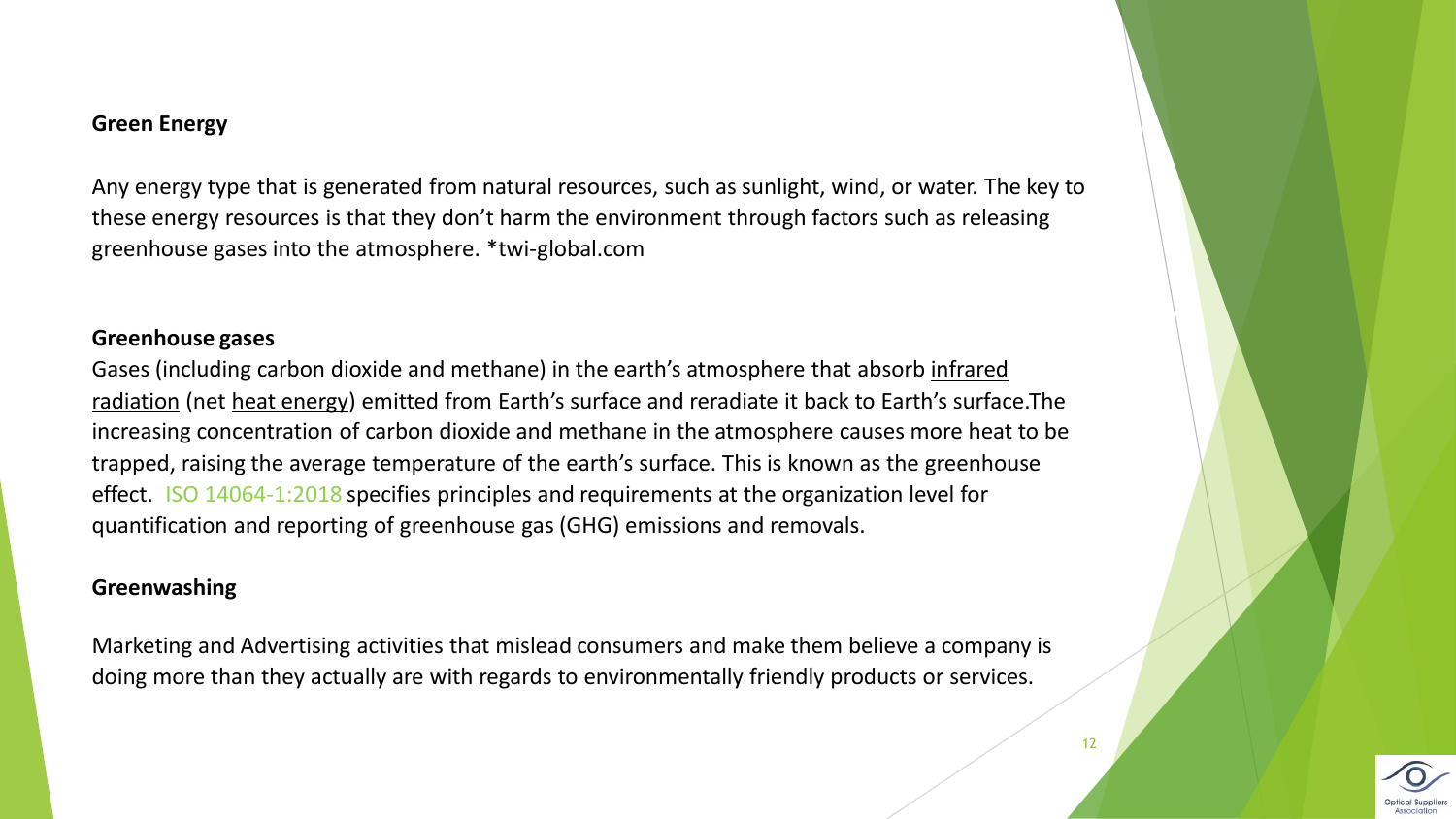# **Green Energy**

Any energy type that is generated from natural resources, such as sunlight, wind, or water. The key to these energy resources is that they don't harm the environment through factors such as releasing greenhouse gases into the atmosphere. \*twi-global.com

#### **Greenhouse gases**

[Gases \(including carbon dioxide and methane\) in the earth's atmosphere that](https://www.britannica.com/science/infrared-radiation) absorb infrared radiation (net [heat energy](https://www.britannica.com/science/heat)) emitted from Earth's surface and reradiate it back to Earth's surface.The increasing concentration of carbon dioxide and methane in the atmosphere causes more heat to be trapped, raising the average temperature of the earth's surface. This is known as the greenhouse effect. ISO 14064-1:2018 specifies principles and requirements at the organization level for quantification and reporting of greenhouse gas (GHG) emissions and removals.

#### **Greenwashing**

Marketing and Advertising activities that mislead consumers and make them believe a company is doing more than they actually are with regards to environmentally friendly products or services.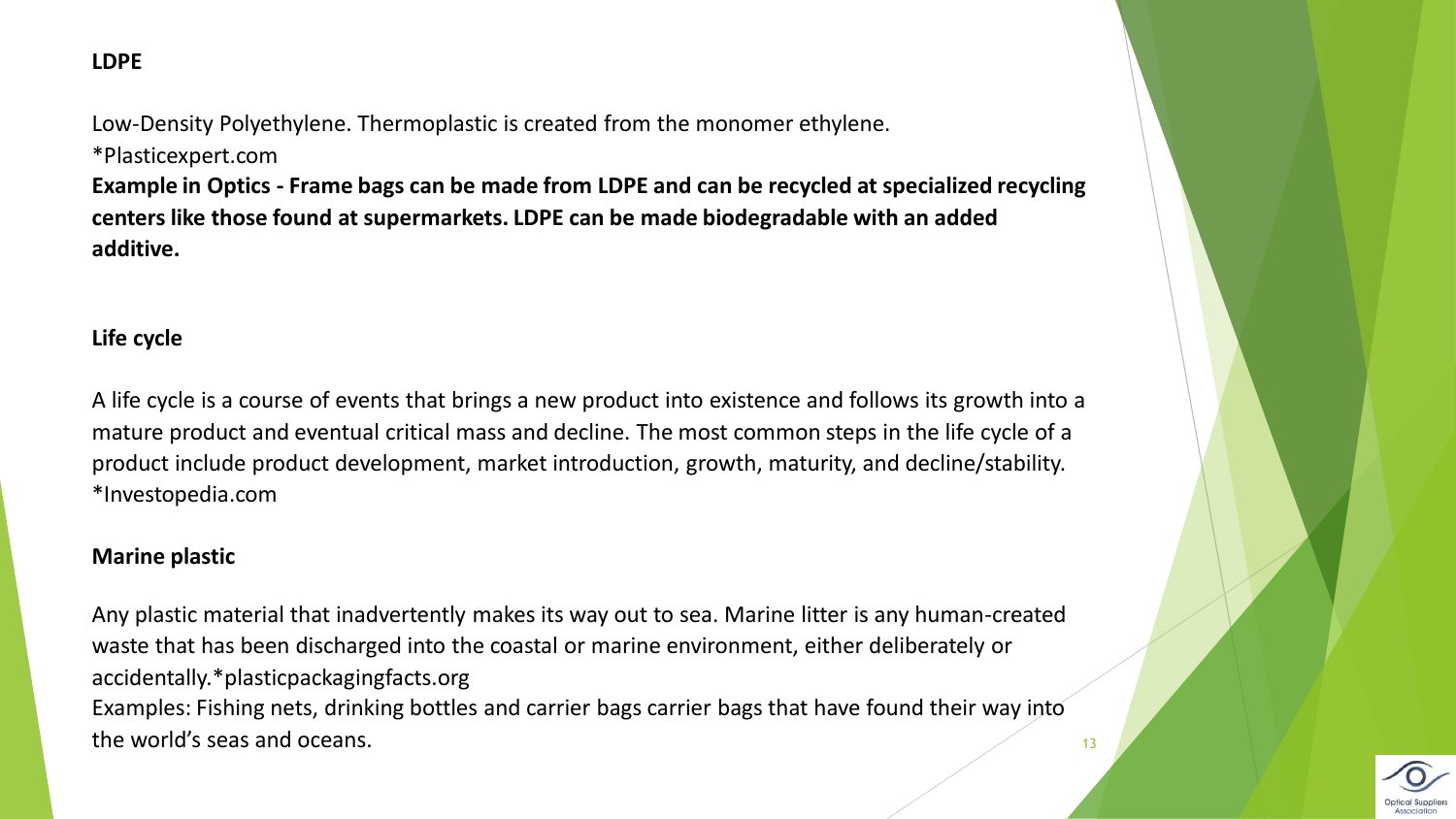# **LDPE**

Low-Density Polyethylene. Thermoplastic is created from the monomer ethylene. \*Plasticexpert.com

**Example in Optics - Frame bags can be made from LDPE and can be recycled at specialized recycling centers like those found at supermarkets. LDPE can be made biodegradable with an added additive.** 

# **Life cycle**

A life cycle is a course of events that brings a new product into existence and follows its growth into a mature product and eventual critical mass and decline. The most common steps in the life cycle of a product include product development, market introduction, growth, maturity, and decline/stability. \*Investopedia.com

#### **Marine plastic**

Any plastic material that inadvertently makes its way out to sea. Marine litter is any human-created waste that has been discharged into the coastal or marine environment, either deliberately or accidentally.\*plasticpackagingfacts.org Examples: Fishing nets, drinking bottles and carrier bags carrier bags that have found their way into the world's seas and oceans. The matrix of the world's seas and oceans.

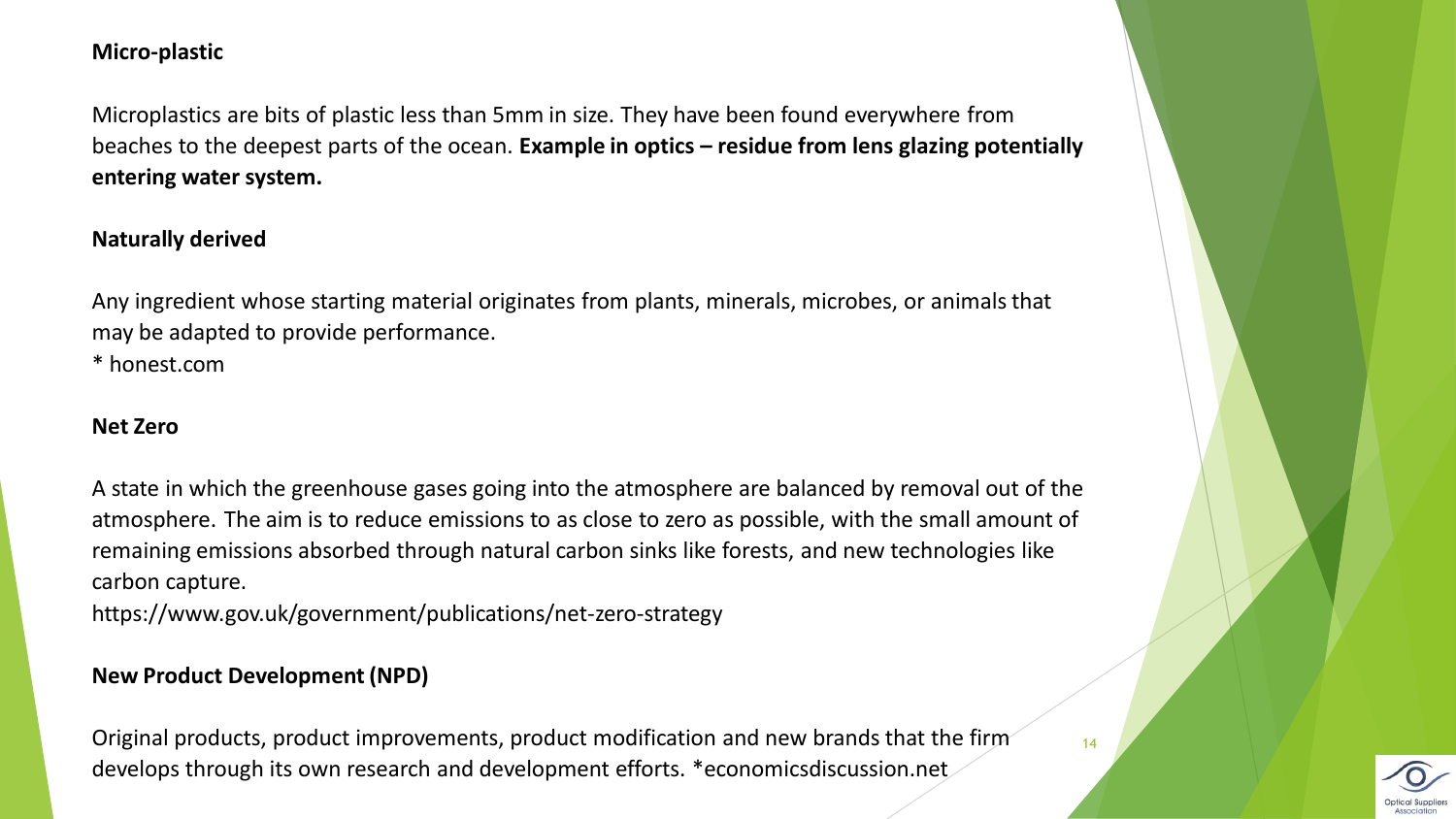# **Micro-plastic**

Microplastics are bits of plastic less than 5mm in size. They have been found everywhere from beaches to the deepest parts of the ocean. **Example in optics – residue from lens glazing potentially entering water system.** 

#### **Naturally derived**

Any ingredient whose starting material originates from plants, minerals, microbes, or animals that may be adapted to provide performance.

\* honest.com

#### **Net Zero**

A state in which the greenhouse gases going into the atmosphere are balanced by removal out of the atmosphere. The aim is to reduce emissions to as close to zero as possible, with the small amount of remaining emissions absorbed through natural carbon sinks like forests, and new technologies like carbon capture.

https://www.gov.uk/government/publications/net-zero-strategy

# **New Product Development (NPD)**

Original products, product improvements, product modification and new brands that the firm develops through its own research and development efforts. \*economicsdiscussion.net



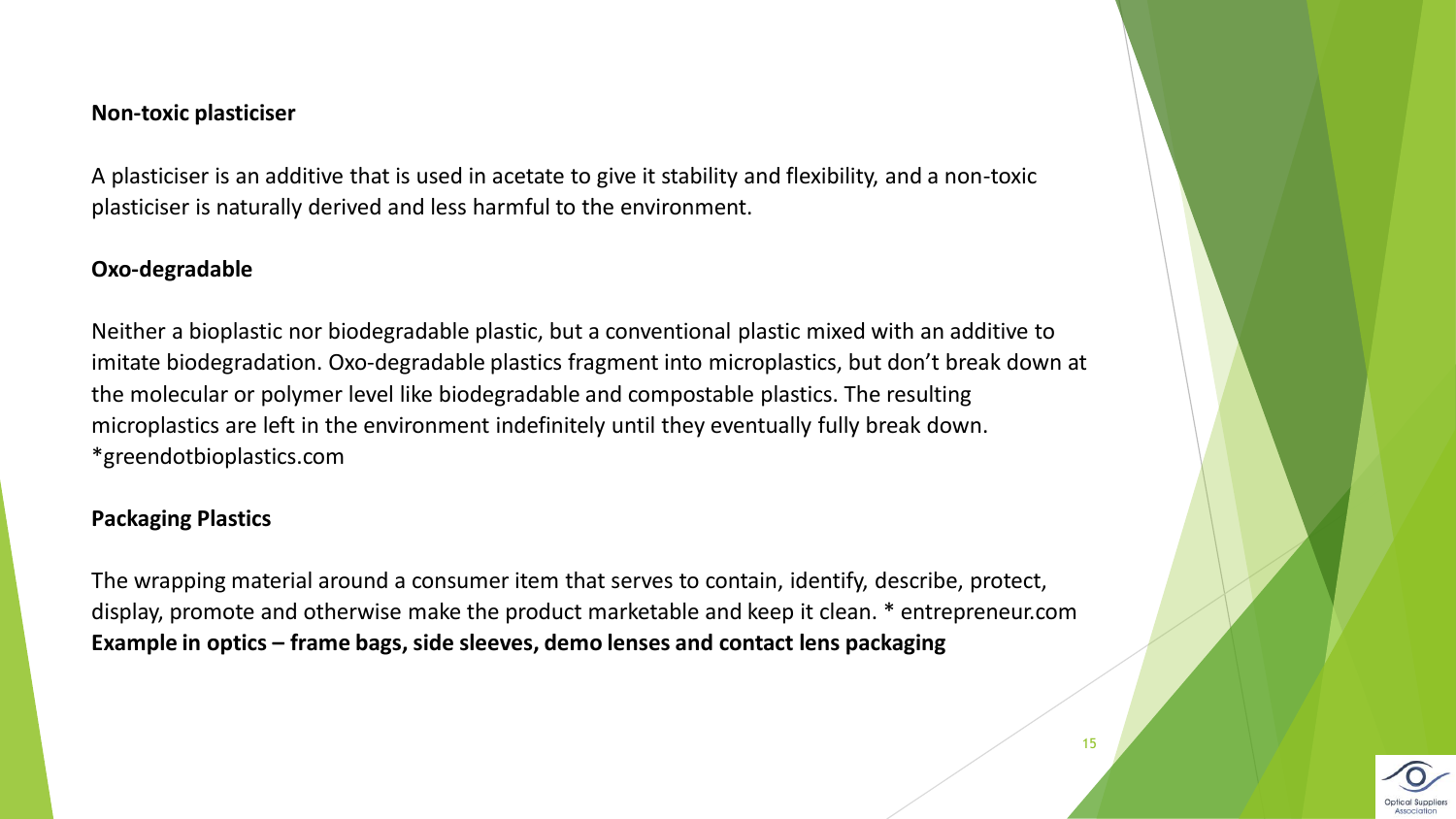#### **Non-toxic plasticiser**

A plasticiser is an additive that is used in acetate to give it stability and flexibility, and a non-toxic plasticiser is naturally derived and less harmful to the environment.

#### **Oxo-degradable**

Neither a bioplastic nor biodegradable plastic, but a conventional plastic mixed with an additive to imitate biodegradation. Oxo-degradable plastics fragment into microplastics, but don't break down at the molecular or polymer level like biodegradable and compostable plastics. The resulting microplastics are left in the environment indefinitely until they eventually fully break down. \*greendotbioplastics.com

#### **Packaging Plastics**

The wrapping material around a consumer item that serves to contain, identify, describe, protect, display, promote and otherwise make the product marketable and keep it clean. \* entrepreneur.com **Example in optics – frame bags, side sleeves, demo lenses and contact lens packaging**

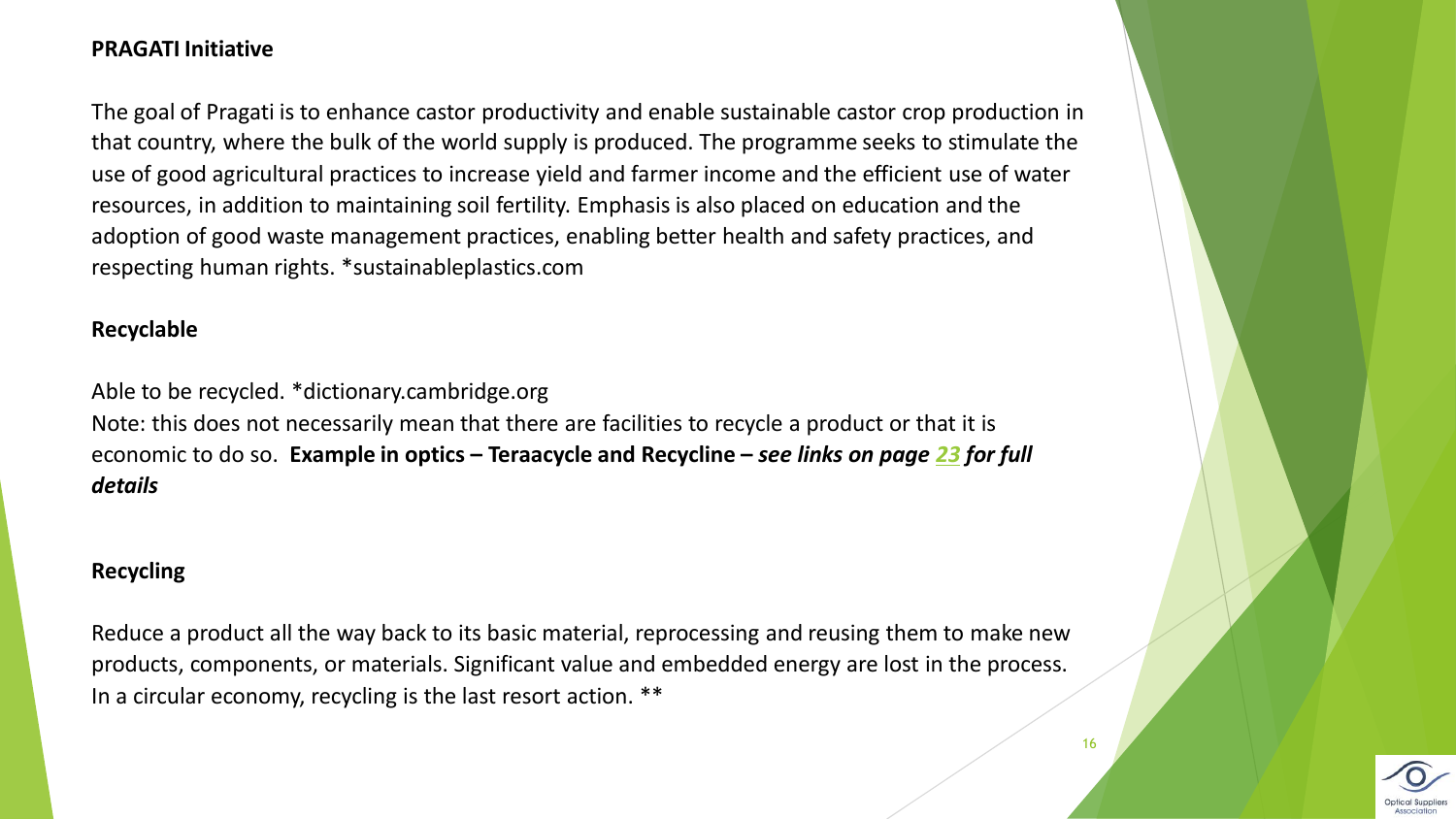# **PRAGATI Initiative**

The goal of Pragati is to enhance castor productivity and enable sustainable castor crop production in that country, where the bulk of the world supply is produced. The programme seeks to stimulate the use of good agricultural practices to increase yield and farmer income and the efficient use of water resources, in addition to maintaining soil fertility. Emphasis is also placed on education and the adoption of good waste management practices, enabling better health and safety practices, and respecting human rights. \*sustainableplastics.com

#### **Recyclable**

Able to be recycled. \*dictionary.cambridge.org

Note: this does not necessarily mean that there are facilities to recycle a product or that it is economic to do so. **Example in optics – Teraacycle and Recycline –** *see links on page [23](#page-22-0) for full details*

# **Recycling**

Reduce a product all the way back to its basic material, reprocessing and reusing them to make new products, components, or materials. Significant value and embedded energy are lost in the process. In a circular economy, recycling is the last resort action. \*\*

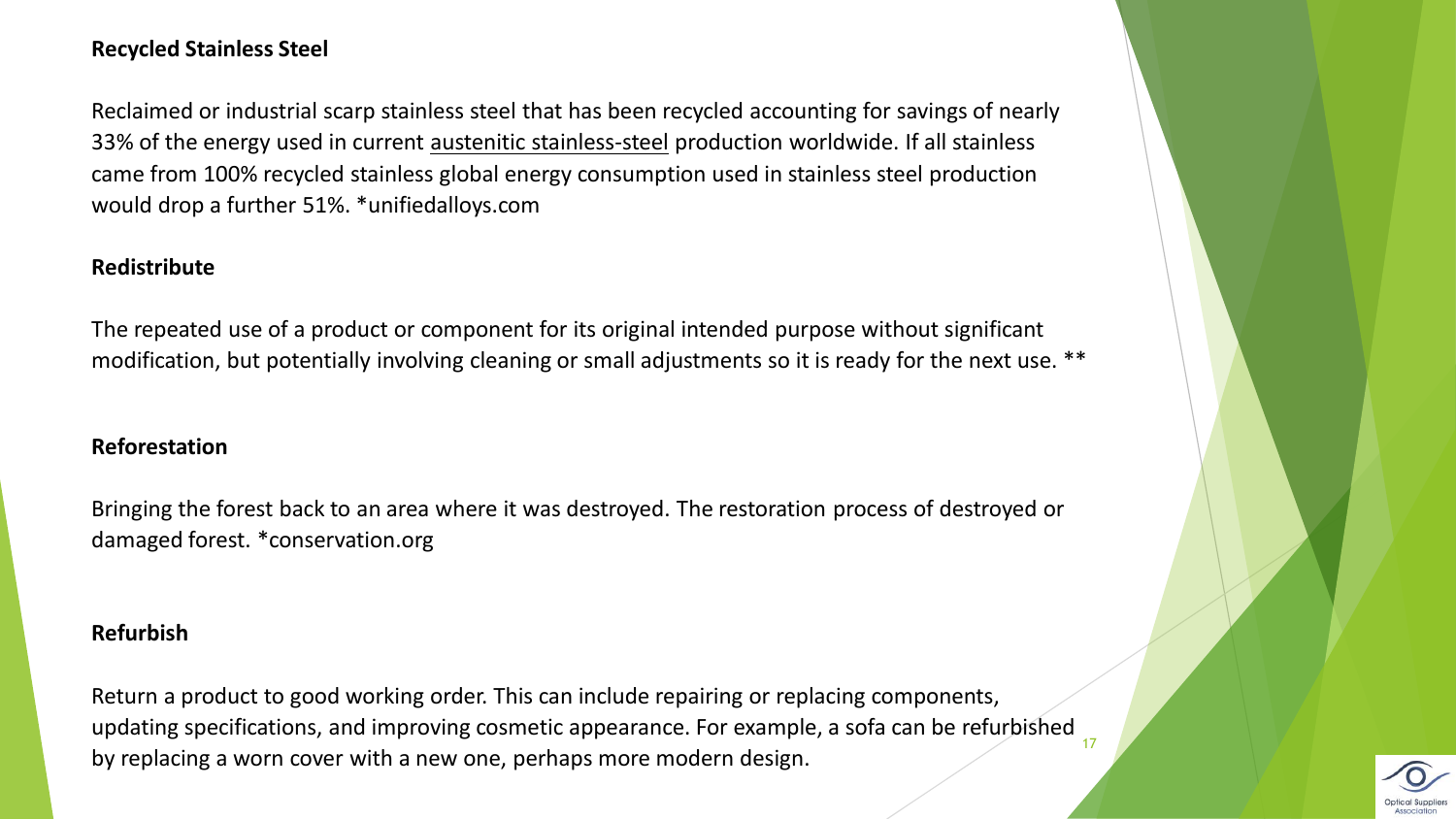# **Recycled Stainless Steel**

Reclaimed or industrial scarp stainless steel that has been recycled accounting for savings of nearly 33% of the energy used in current [austenitic stainless-steel](https://www.unifiedalloys.com/blog/stainless-grades-families/) production worldwide. If all stainless came from 100% recycled stainless global energy consumption used in stainless steel production would drop a further 51%. \*unifiedalloys.com

#### **Redistribute**

The repeated use of a product or component for its original intended purpose without significant modification, but potentially involving cleaning or small adjustments so it is ready for the next use. \*\*

#### **Reforestation**

Bringing the forest back to an area where it was destroyed. The restoration process of destroyed or damaged forest. \*conservation.org

#### **Refurbish**

Return a product to good working order. This can include repairing or replacing components, updating specifications, and improving cosmetic appearance. For example, a sofa can be refurbished by replacing a worn cover with a new one, perhaps more modern design. 17

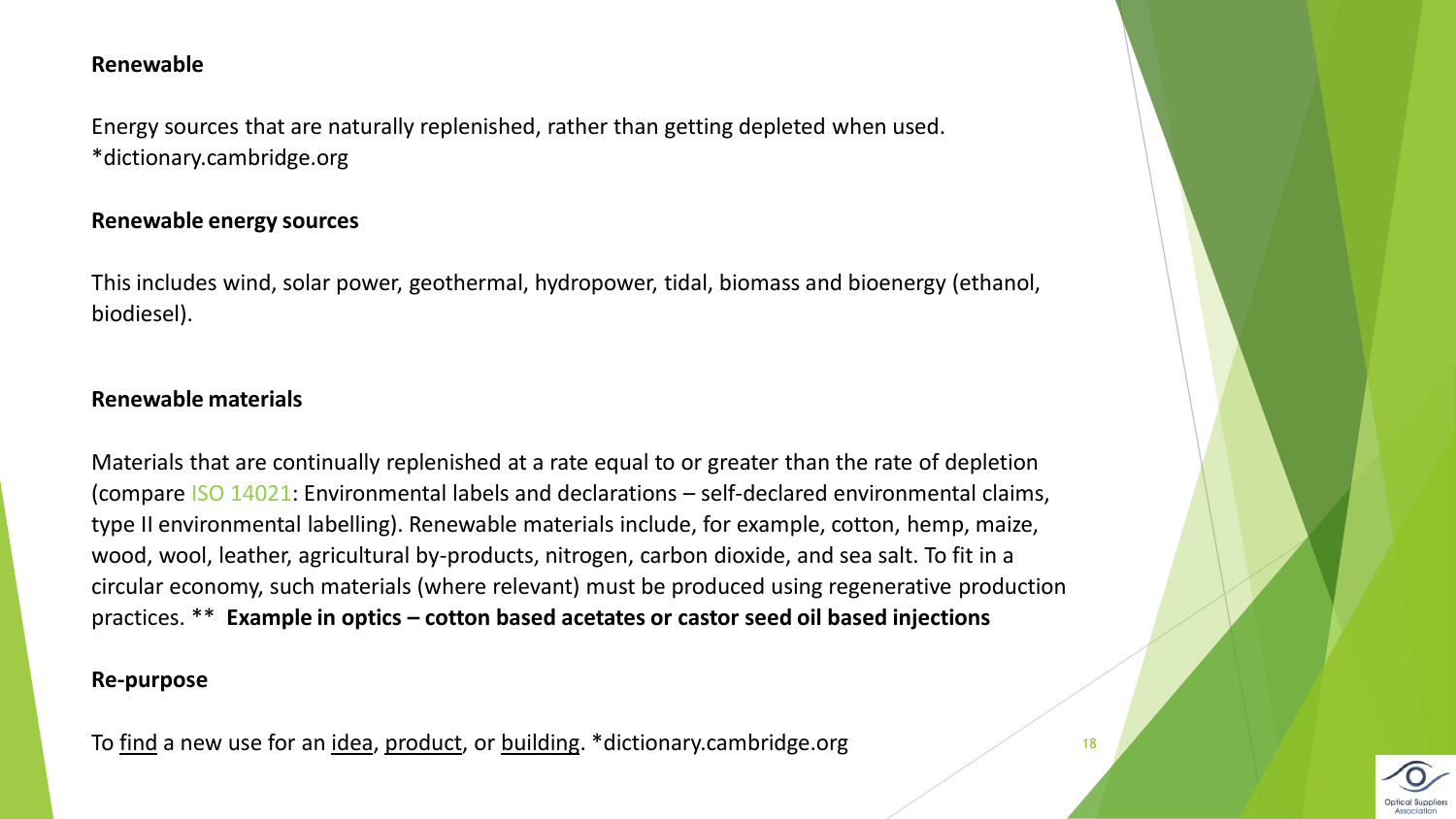#### **Renewable**

Energy sources that are naturally replenished, rather than getting depleted when used. \*dictionary.cambridge.org

#### **Renewable energy sources**

This includes wind, solar power, geothermal, hydropower, tidal, biomass and bioenergy (ethanol, biodiesel).

#### **Renewable materials**

Materials that are continually replenished at a rate equal to or greater than the rate of depletion (compare ISO 14021: Environmental labels and declarations – self-declared environmental claims, type II environmental labelling). Renewable materials include, for example, cotton, hemp, maize, wood, wool, leather, agricultural by-products, nitrogen, carbon dioxide, and sea salt. To fit in a circular economy, such materials (where relevant) must be produced using regenerative production practices. \*\* **Example in optics – cotton based acetates or castor seed oil based injections**

#### **Re-purpose**

To [find](https://dictionary.cambridge.org/dictionary/english/find) a new use for an [idea](https://dictionary.cambridge.org/dictionary/english/idea), [product,](https://dictionary.cambridge.org/dictionary/english/product) or [building.](https://dictionary.cambridge.org/dictionary/english/building) \*dictionary.cambridge.org 18



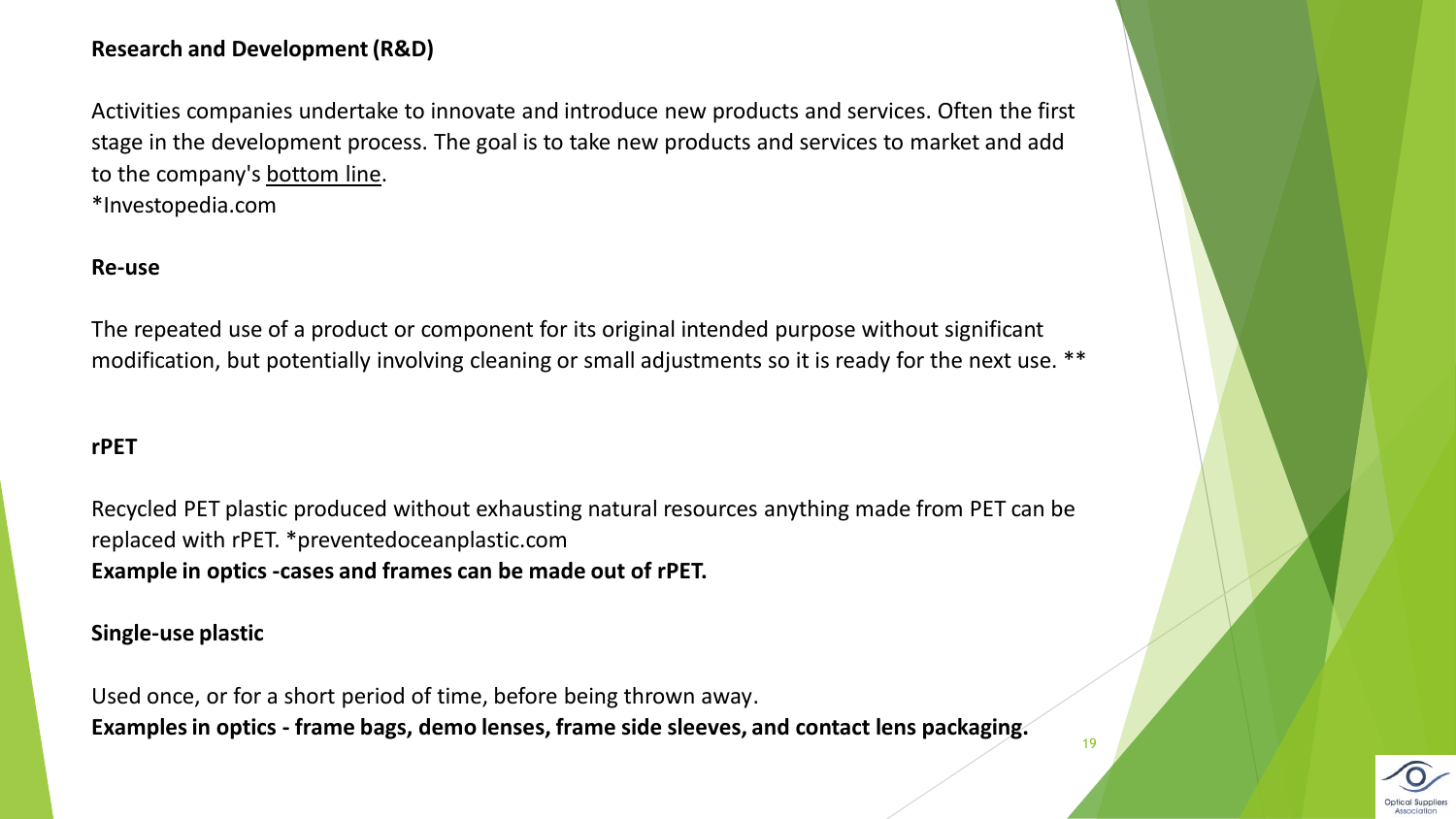# **Research and Development (R&D)**

Activities companies undertake to innovate and introduce new products and services. Often the first stage in the development process. The goal is to take new products and services to market and add to the company's [bottom line.](https://www.investopedia.com/ask/answers/difference-between-bottom-line-and-top-line-growth/) \*Investopedia.com

#### **Re-use**

The repeated use of a product or component for its original intended purpose without significant modification, but potentially involving cleaning or small adjustments so it is ready for the next use. \*\*

#### **rPET**

Recycled PET plastic produced without exhausting natural resources anything made from PET can be replaced with rPET. \*preventedoceanplastic.com **Example in optics -cases and frames can be made out of rPET.**

**Single-use plastic** 

Used once, or for a short period of time, before being thrown away. **Examples in optics - frame bags, demo lenses, frame side sleeves, and contact lens packaging.**

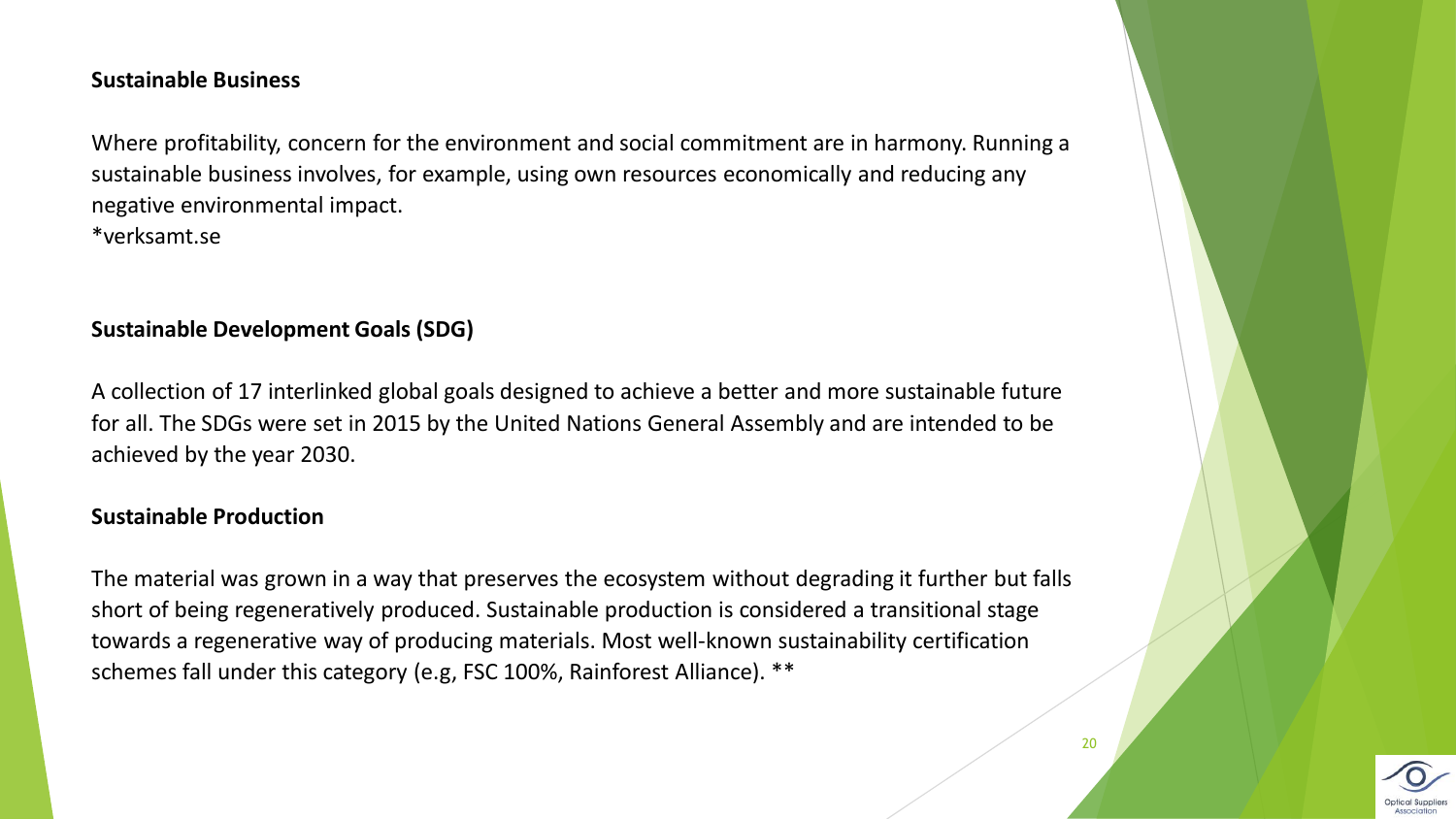#### **Sustainable Business**

Where profitability, concern for the environment and social commitment are in harmony. Running a sustainable business involves, for example, using own resources economically and reducing any negative environmental impact.

\*verksamt.se

# **Sustainable Development Goals (SDG)**

A collection of 17 interlinked global goals designed to achieve a better and more sustainable future for all. The SDGs were set in 2015 by the United Nations General Assembly and are intended to be achieved by the year 2030.

# **Sustainable Production**

The material was grown in a way that preserves the ecosystem without degrading it further but falls short of being regeneratively produced. Sustainable production is considered a transitional stage towards a regenerative way of producing materials. Most well-known sustainability certification schemes fall under this category (e.g, FSC 100%, Rainforest Alliance). \*\*

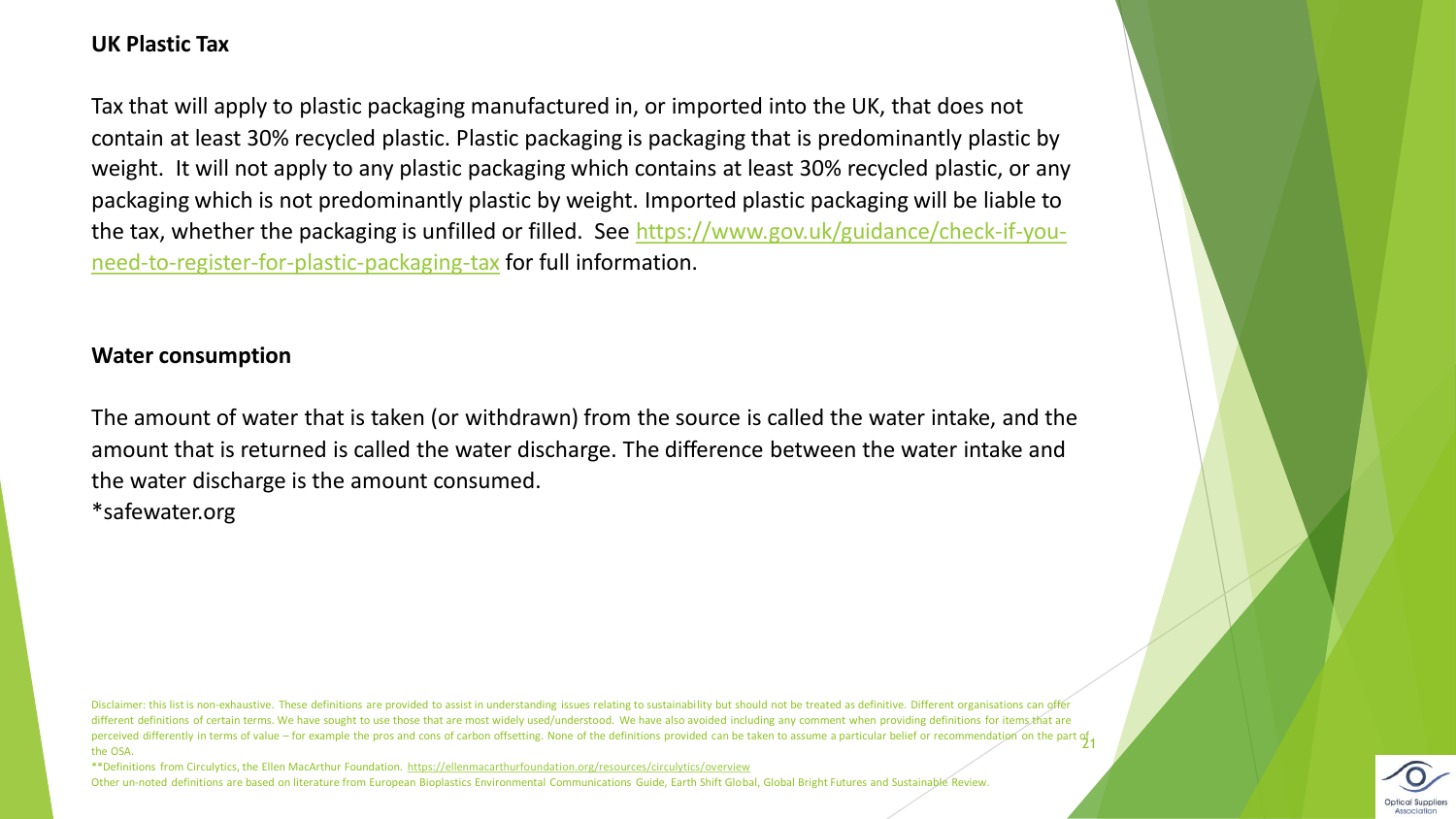#### **UK Plastic Tax**

Tax that will apply to plastic packaging manufactured in, or imported into the UK, that does not contain at least 30% recycled plastic. Plastic packaging is packaging that is predominantly plastic by weight. It will not apply to any plastic packaging which contains at least 30% recycled plastic, or any packaging which is not predominantly plastic by weight. Imported plastic packaging will be liable to [the tax, whether the packaging is unfilled or filled. See https://www.gov.uk/guidance/check-if-you](https://www.gov.uk/guidance/check-if-you-need-to-register-for-plastic-packaging-tax)need-to-register-for-plastic-packaging-tax for full information.

### **Water consumption**

The amount of water that is taken (or withdrawn) from the source is called the water intake, and the amount that is returned is called the water discharge. The difference between the water intake and the water discharge is the amount consumed.

\*safewater.org

Disclaimer: this list is non-exhaustive. These definitions are provided to assist in understanding issues relating to sustainability but should not be treated as definitive. Different organisations can offer different definitions of certain terms. We have sought to use those that are most widely used/understood. We have also avoided including any comment when providing definitions for items that are perceived differently in terms of value – for example the pros and cons of carbon offsetting. None of the definitions provided can be taken to assume a particular belief or recommendation on the part of 21 the OSA.

\*\*Definitions from Circulytics, the Ellen MacArthur Foundation. <https://ellenmacarthurfoundation.org/resources/circulytics/overview> Other un-noted definitions are based on literature from European Bioplastics Environmental Communications Guide, Earth Shift Global, Global Bright Futures and Sustainable Review.

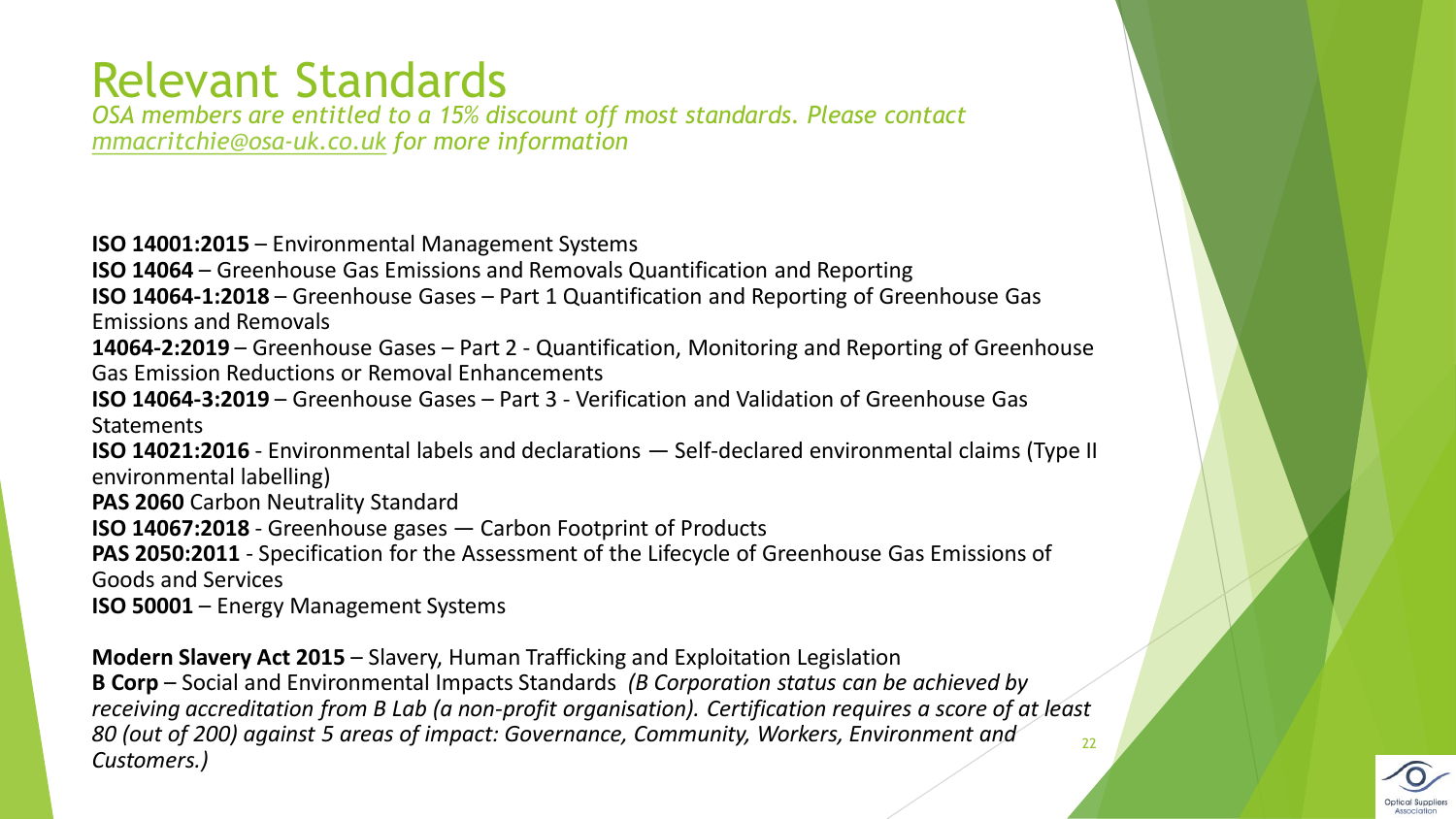# Relevant Standards

*OSA members are entitled to a 15% discount off most standards. Please contact [mmacritchie@osa-uk.co.uk](mailto:mmacritchie@osa-uk.co.uk) for more information* 

**ISO 14001:2015** – Environmental Management Systems **ISO 14064** – Greenhouse Gas Emissions and Removals Quantification and Reporting **ISO 14064-1:2018** – Greenhouse Gases – Part 1 Quantification and Reporting of Greenhouse Gas Emissions and Removals **14064-2:2019** – Greenhouse Gases – Part 2 - Quantification, Monitoring and Reporting of Greenhouse Gas Emission Reductions or Removal Enhancements **ISO 14064-3:2019** – Greenhouse Gases – Part 3 - Verification and Validation of Greenhouse Gas **Statements ISO 14021:2016** - Environmental labels and declarations — Self-declared environmental claims (Type II environmental labelling) **PAS 2060** Carbon Neutrality Standard **ISO 14067:2018** - Greenhouse gases — Carbon Footprint of Products **PAS 2050:2011** - Specification for the Assessment of the Lifecycle of Greenhouse Gas Emissions of Goods and Services **ISO 50001** – Energy Management Systems

**Modern Slavery Act 2015** – Slavery, Human Trafficking and Exploitation Legislation **B Corp** – Social and Environmental Impacts Standards *(B Corporation status can be achieved by receiving accreditation from B Lab (a non-profit organisation). Certification requires a score of at least 80 (out of 200) against 5 areas of impact: Governance, Community, Workers, Environment and Customers.)* 22